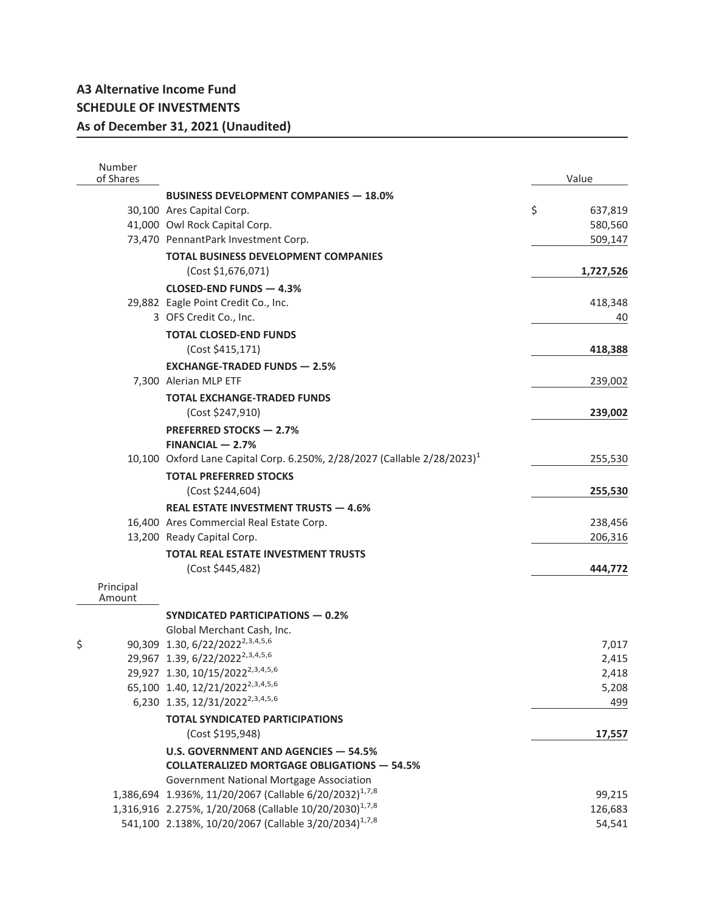| Number<br>of Shares |                                                                                                                                          | Value             |
|---------------------|------------------------------------------------------------------------------------------------------------------------------------------|-------------------|
|                     | <b>BUSINESS DEVELOPMENT COMPANIES - 18.0%</b>                                                                                            |                   |
|                     | 30,100 Ares Capital Corp.                                                                                                                | \$<br>637,819     |
|                     | 41,000 Owl Rock Capital Corp.                                                                                                            | 580,560           |
|                     | 73,470 PennantPark Investment Corp.                                                                                                      | 509,147           |
|                     | <b>TOTAL BUSINESS DEVELOPMENT COMPANIES</b>                                                                                              |                   |
|                     | (Cost \$1,676,071)                                                                                                                       | 1,727,526         |
|                     | CLOSED-END FUNDS - 4.3%                                                                                                                  |                   |
|                     | 29,882 Eagle Point Credit Co., Inc.                                                                                                      | 418,348           |
|                     | 3 OFS Credit Co., Inc.                                                                                                                   | 40                |
|                     | <b>TOTAL CLOSED-END FUNDS</b>                                                                                                            |                   |
|                     | (Cost \$415,171)                                                                                                                         | 418,388           |
|                     | <b>EXCHANGE-TRADED FUNDS - 2.5%</b>                                                                                                      |                   |
|                     | 7,300 Alerian MLP ETF                                                                                                                    | 239,002           |
|                     | <b>TOTAL EXCHANGE-TRADED FUNDS</b>                                                                                                       |                   |
|                     | (Cost \$247,910)                                                                                                                         | 239,002           |
|                     | <b>PREFERRED STOCKS - 2.7%</b>                                                                                                           |                   |
|                     | $FINANCIAL - 2.7%$                                                                                                                       |                   |
|                     | 10,100 Oxford Lane Capital Corp. 6.250%, 2/28/2027 (Callable $2/28/2023$ ) <sup>1</sup>                                                  | 255,530           |
|                     | <b>TOTAL PREFERRED STOCKS</b>                                                                                                            |                   |
|                     | (Cost \$244,604)                                                                                                                         | 255,530           |
|                     | <b>REAL ESTATE INVESTMENT TRUSTS - 4.6%</b>                                                                                              |                   |
|                     | 16,400 Ares Commercial Real Estate Corp.                                                                                                 | 238,456           |
|                     | 13,200 Ready Capital Corp.                                                                                                               | 206,316           |
|                     | <b>TOTAL REAL ESTATE INVESTMENT TRUSTS</b>                                                                                               |                   |
|                     | (Cost \$445,482)                                                                                                                         | 444,772           |
| Principal           |                                                                                                                                          |                   |
| Amount              |                                                                                                                                          |                   |
|                     | <b>SYNDICATED PARTICIPATIONS - 0.2%</b>                                                                                                  |                   |
|                     | Global Merchant Cash, Inc.                                                                                                               |                   |
| \$                  | 90,309 1.30, 6/22/2022 <sup>2,3,4,5,6</sup>                                                                                              | 7,017             |
|                     | 29,967 1.39, 6/22/2022 <sup>2,3,4,5,6</sup>                                                                                              | 2,415             |
|                     | 29,927 1.30, 10/15/2022 <sup>2,3,4,5,6</sup>                                                                                             | 2,418             |
|                     | 65,100 1.40, 12/21/2022 <sup>2,3,4,5,6</sup>                                                                                             | 5,208             |
|                     | 6,230 1.35, 12/31/2022 <sup>2,3,4,5,6</sup>                                                                                              | 499               |
|                     | <b>TOTAL SYNDICATED PARTICIPATIONS</b>                                                                                                   |                   |
|                     | (Cost \$195,948)                                                                                                                         | 17,557            |
|                     | U.S. GOVERNMENT AND AGENCIES - 54.5%                                                                                                     |                   |
|                     | <b>COLLATERALIZED MORTGAGE OBLIGATIONS - 54.5%</b>                                                                                       |                   |
|                     | Government National Mortgage Association                                                                                                 |                   |
|                     | 1,386,694 1.936%, 11/20/2067 (Callable 6/20/2032) <sup>1,7,8</sup><br>1,316,916 2.275%, 1/20/2068 (Callable 10/20/2030) <sup>1,7,8</sup> | 99,215            |
|                     | 541,100 2.138%, 10/20/2067 (Callable 3/20/2034) <sup>1,7,8</sup>                                                                         | 126,683<br>54,541 |
|                     |                                                                                                                                          |                   |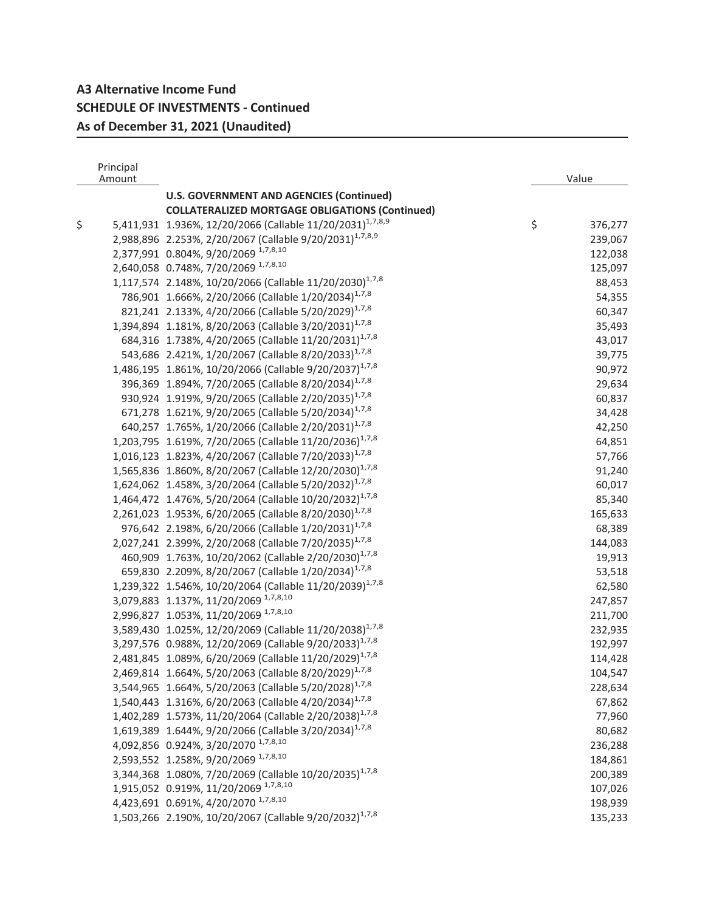## **A3 Alternative Income Fund SCHEDULE OF INVESTMENTS - Continued As of December 31, 2021 (Unaudited)**

|    | Principal<br>Amount |                                                                       | Value            |
|----|---------------------|-----------------------------------------------------------------------|------------------|
|    |                     | <b>U.S. GOVERNMENT AND AGENCIES (Continued)</b>                       |                  |
|    |                     | <b>COLLATERALIZED MORTGAGE OBLIGATIONS (Continued)</b>                |                  |
| \$ |                     | 5,411,931 1.936%, 12/20/2066 (Callable 11/20/2031) <sup>1,7,8,9</sup> | \$<br>376,277    |
|    |                     | 2,988,896 2.253%, 2/20/2067 (Callable 9/20/2031) <sup>1,7,8,9</sup>   | 239,067          |
|    |                     | 2,377,991 0.804%, 9/20/2069 1,7,8,10                                  | 122,038          |
|    |                     | 2,640,058 0.748%, 7/20/2069 1,7,8,10                                  | 125,097          |
|    |                     | 1,117,574 2.148%, 10/20/2066 (Callable 11/20/2030) <sup>1,7,8</sup>   | 88,453           |
|    |                     | 786,901 1.666%, 2/20/2066 (Callable 1/20/2034) <sup>1,7,8</sup>       |                  |
|    |                     | 821,241 2.133%, 4/20/2066 (Callable 5/20/2029) <sup>1,7,8</sup>       | 54,355<br>60,347 |
|    |                     |                                                                       |                  |
|    |                     | 1,394,894 1.181%, 8/20/2063 (Callable 3/20/2031) <sup>1,7,8</sup>     | 35,493           |
|    |                     | 684,316 1.738%, 4/20/2065 (Callable 11/20/2031) <sup>1,7,8</sup>      | 43,017           |
|    |                     | 543,686 2.421%, 1/20/2067 (Callable 8/20/2033) <sup>1,7,8</sup>       | 39,775           |
|    |                     | 1,486,195 1.861%, 10/20/2066 (Callable 9/20/2037) <sup>1,7,8</sup>    | 90,972           |
|    |                     | 396,369 1.894%, 7/20/2065 (Callable 8/20/2034) <sup>1,7,8</sup>       | 29,634           |
|    |                     | 930,924 1.919%, 9/20/2065 (Callable 2/20/2035) <sup>1,7,8</sup>       | 60,837           |
|    |                     | 671,278 1.621%, 9/20/2065 (Callable 5/20/2034) <sup>1,7,8</sup>       | 34,428           |
|    |                     | 640,257 1.765%, 1/20/2066 (Callable 2/20/2031) <sup>1,7,8</sup>       | 42,250           |
|    |                     | 1,203,795 1.619%, 7/20/2065 (Callable 11/20/2036) <sup>1,7,8</sup>    | 64,851           |
|    |                     | 1,016,123 1.823%, 4/20/2067 (Callable 7/20/2033) <sup>1,7,8</sup>     | 57,766           |
|    |                     | 1,565,836 1.860%, 8/20/2067 (Callable 12/20/2030) <sup>1,7,8</sup>    | 91,240           |
|    |                     | 1,624,062 1.458%, 3/20/2064 (Callable 5/20/2032) <sup>1,7,8</sup>     | 60,017           |
|    |                     | 1,464,472 1.476%, 5/20/2064 (Callable 10/20/2032) <sup>1,7,8</sup>    | 85,340           |
|    |                     | 2,261,023 1.953%, 6/20/2065 (Callable 8/20/2030) <sup>1,7,8</sup>     | 165,633          |
|    |                     | 976,642 2.198%, 6/20/2066 (Callable 1/20/2031) <sup>1,7,8</sup>       | 68,389           |
|    |                     | 2,027,241 2.399%, 2/20/2068 (Callable 7/20/2035) <sup>1,7,8</sup>     | 144,083          |
|    |                     | 460,909 1.763%, 10/20/2062 (Callable 2/20/2030) <sup>1,7,8</sup>      | 19,913           |
|    |                     | 659,830 2.209%, 8/20/2067 (Callable 1/20/2034) <sup>1,7,8</sup>       | 53,518           |
|    |                     | 1,239,322 1.546%, 10/20/2064 (Callable 11/20/2039) <sup>1,7,8</sup>   | 62,580           |
|    |                     | 3,079,883 1.137%, 11/20/2069 1,7,8,10                                 | 247,857          |
|    |                     | 2,996,827 1.053%, 11/20/2069 1,7,8,10                                 | 211,700          |
|    |                     | 3,589,430 1.025%, 12/20/2069 (Callable 11/20/2038) <sup>1,7,8</sup>   | 232,935          |
|    |                     | 3,297,576 0.988%, 12/20/2069 (Callable 9/20/2033) <sup>1,7,8</sup>    | 192,997          |
|    |                     | 2,481,845 1.089%, 6/20/2069 (Callable 11/20/2029) <sup>1,7,8</sup>    | 114,428          |
|    |                     | 2,469,814 1.664%, 5/20/2063 (Callable 8/20/2029) <sup>1,7,8</sup>     | 104,547          |
|    |                     | 3,544,965 1.664%, 5/20/2063 (Callable 5/20/2028) <sup>1,7,8</sup>     | 228,634          |
|    |                     | 1,540,443 1.316%, 6/20/2063 (Callable 4/20/2034) <sup>1,7,8</sup>     | 67,862           |
|    |                     | 1,402,289 1.573%, 11/20/2064 (Callable 2/20/2038) <sup>1,7,8</sup>    | 77,960           |
|    |                     | 1,619,389 1.644%, 9/20/2066 (Callable 3/20/2034) <sup>1,7,8</sup>     | 80,682           |
|    |                     | 4,092,856 0.924%, 3/20/2070 1,7,8,10                                  | 236,288          |
|    |                     | 2,593,552 1.258%, 9/20/2069 1,7,8,10                                  | 184,861          |
|    |                     | 3,344,368 1.080%, 7/20/2069 (Callable 10/20/2035) <sup>1,7,8</sup>    | 200,389          |
|    |                     | 1,915,052  0.919%, 11/20/2069 $1.7,8,10$                              | 107,026          |
|    |                     | 4,423,691 0.691%, 4/20/2070 1,7,8,10                                  | 198,939          |
|    |                     | 1,503,266 2.190%, 10/20/2067 (Callable 9/20/2032) <sup>1,7,8</sup>    | 135,233          |
|    |                     |                                                                       |                  |